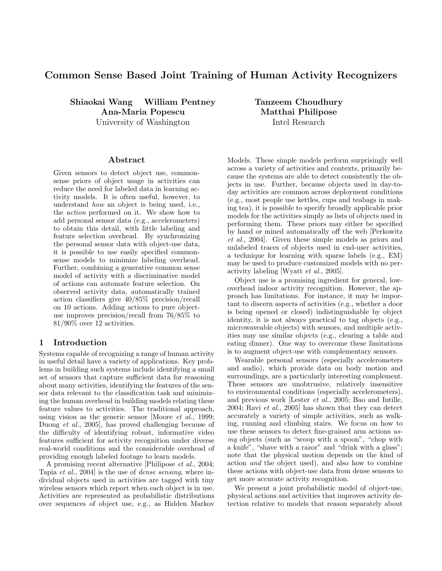# Common Sense Based Joint Training of Human Activity Recognizers

Shiaokai Wang William Pentney Ana-Maria Popescu University of Washington

#### Abstract

Given sensors to detect object use, commonsense priors of object usage in activities can reduce the need for labeled data in learning activity models. It is often useful, however, to understand how an object is being used, i.e., the action performed on it. We show how to add personal sensor data (e.g., accelerometers) to obtain this detail, with little labeling and feature selection overhead. By synchronizing the personal sensor data with object-use data, it is possible to use easily specified commonsense models to minimize labeling overhead. Further, combining a generative common sense model of activity with a discriminative model of actions can automate feature selection. On observed activity data, automatically trained action classifiers give 40/85% precision/recall on 10 actions. Adding actions to pure objectuse improves precision/recall from 76/85% to 81/90% over 12 activities.

# 1 Introduction

Systems capable of recognizing a range of human activity in useful detail have a variety of applications. Key problems in building such systems include identifying a small set of sensors that capture sufficient data for reasoning about many activities, identifying the features of the sensor data relevant to the classification task and minimizing the human overhead in building models relating these feature values to activities. The traditional approach, using vision as the generic sensor [Moore et al., 1999; Duong et al., 2005], has proved challenging because of the difficulty of identifying robust, informative video features sufficient for activity recognition under diverse real-world conditions and the considerable overhead of providing enough labeled footage to learn models.

A promising recent alternative [Philipose et al., 2004; Tapia et al., 2004] is the use of dense sensing, where individual objects used in activities are tagged with tiny wireless sensors which report when each object is in use. Activities are represented as probabilistic distributions over sequences of object use, e.g., as Hidden Markov Tanzeem Choudhury Matthai Philipose Intel Research

Models. These simple models perform surprisingly well across a variety of activities and contexts, primarily because the systems are able to detect consistently the objects in use. Further, because objects used in day-today activities are common across deployment conditions (e.g., most people use kettles, cups and teabags in making tea), it is possible to specify broadly applicable prior models for the activities simply as lists of objects used in performing them. These priors may either be specified by hand or mined automatically off the web [Perkowitz et al., 2004]. Given these simple models as priors and unlabeled traces of objects used in end-user activities, a technique for learning with sparse labels (e.g., EM) may be used to produce customized models with no peractivity labeling [Wyatt et al., 2005].

Object use is a promising ingredient for general, lowoverhead indoor activity recognition. However, the approach has limitations. For instance, it may be important to discern aspects of activities (e.g., whether a door is being opened or closed) indistinguishable by object identity, it is not always practical to tag objects (e.g., microwaveable objects) with sensors, and multiple activities may use similar objects (e.g., clearing a table and eating dinner). One way to overcome these limitations is to augment object-use with complementary sensors.

Wearable personal sensors (especially accelerometers and audio), which provide data on body motion and surroundings, are a particularly interesting complement. These sensors are unobtrusive, relatively insensitive to environmental conditions (especially accelerometers), and previous work [Lester et al., 2005; Bao and Intille, 2004; Ravi et al., 2005] has shown that they can detect accurately a variety of simple activities, such as walking, running and climbing stairs. We focus on how to use these sensors to detect fine-grained arm actions using objects (such as "scoop with a spoon", "chop with a knife", "shave with a razor" and "drink with a glass"; note that the physical motion depends on the kind of action and the object used), and also how to combine these actions with object-use data from dense sensors to get more accurate activity recognition.

We present a joint probabilistic model of object-use, physical actions and activities that improves activity detection relative to models that reason separately about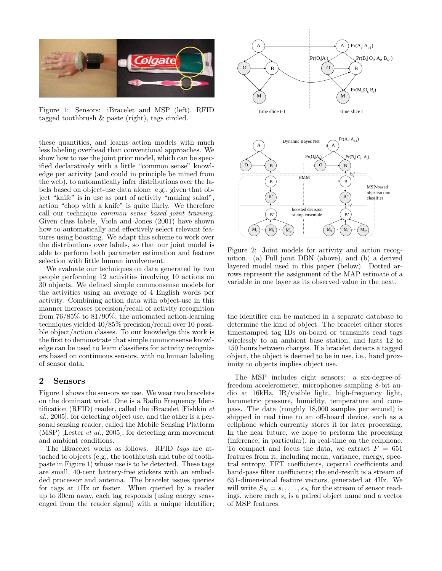

Figure 1: Sensors: iBracelet and MSP (left), RFID tagged toothbrush & paste (right), tags circled.

these quantities, and learns action models with much less labeling overhead than conventional approaches. We show how to use the joint prior model, which can be specified declaratively with a little "common sense" knowledge per activity (and could in principle be mined from the web), to automatically infer distributions over the labels based on object-use data alone: e.g., given that object "knife" is in use as part of activity "making salad", action "chop with a knife" is quite likely. We therefore call our technique common sense based joint training. Given class labels, Viola and Jones (2001) have shown how to automatically and effectively select relevant features using boosting. We adapt this scheme to work over the distributions over labels, so that our joint model is able to perform both parameter estimation and feature selection with little human involvement.

We evaluate our techniques on data generated by two people performing 12 activities involving 10 actions on 30 objects. We defined simple commonsense models for the activities using an average of 4 English words per activity. Combining action data with object-use in this manner increases precision/recall of activity recognition from 76/85% to 81/90%; the automated action-learning techniques yielded 40/85% precision/recall over 10 possible object/action classes. To our knowledge this work is the first to demonstrate that simple commonsense knowledge can be used to learn classifiers for activity recognizers based on continuous sensors, with no human labeling of sensor data.

# 2 Sensors

Figure 1 shows the sensors we use. We wear two bracelets on the dominant wrist. One is a Radio Frequency Identification (RFID) reader, called the iBracelet Fishkin  $et$ al., 2005], for detecting object use, and the other is a personal sensing reader, called the Mobile Sensing Platform (MSP) [Lester et al., 2005], for detecting arm movement and ambient conditions.

The iBracelet works as follows. RFID tags are attached to objects (e.g., the toothbrush and tube of toothpaste in Figure 1) whose use is to be detected. These tags are small, 40-cent battery-free stickers with an embedded processor and antenna. The bracelet issues queries for tags at 1Hz or faster. When queried by a reader up to 30cm away, each tag responds (using energy scavenged from the reader signal) with a unique identifier;



Figure 2: Joint models for activity and action recognition. (a) Full joint DBN (above), and (b) a derived layered model used in this paper (below). Dotted arrows represent the assignment of the MAP estimate of a variable in one layer as its observed value in the next.

the identifier can be matched in a separate database to determine the kind of object. The bracelet either stores timestamped tag IDs on-board or transmits read tags wirelessly to an ambient base station, and lasts 12 to 150 hours between charges. If a bracelet detects a tagged object, the object is deemed to be in use, i.e., hand proximity to objects implies object use.

The MSP includes eight sensors: a six-degree-offreedom accelerometer, microphones sampling 8-bit audio at 16kHz, IR/visible light, high-frequency light, barometric pressure, humidity, temperature and compass. The data (roughly 18,000 samples per second) is shipped in real time to an off-board device, such as a cellphone which currently stores it for later processing. In the near future, we hope to perform the processing (inference, in particular), in real-time on the cellphone. To compact and focus the data, we extract  $F = 651$ features from it, including mean, variance, energy, spectral entropy, FFT coefficients, cepstral coefficients and band-pass filter coefficients; the end-result is a stream of 651-dimensional feature vectors, generated at 4Hz. We will write  $S_N = s_1, \ldots, s_N$  for the stream of sensor readings, where each  $s_i$  is a paired object name and a vector of MSP features.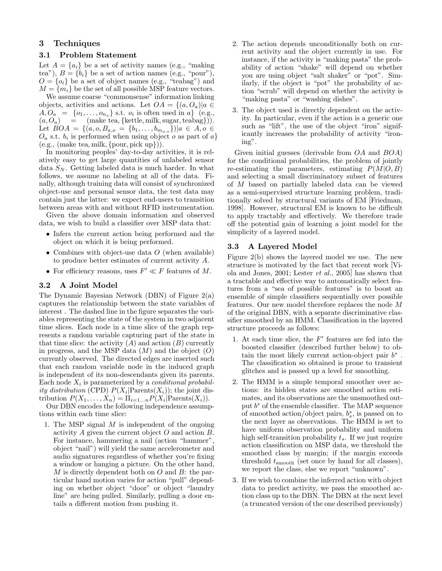# 3 Techniques

#### 3.1 Problem Statement

Let  $A = \{a_i\}$  be a set of activity names (e.g., "making") tea"),  $B = \{b_i\}$  be a set of action names (e.g., "pour"),  $O = \{o_i\}$  be a set of object names (e.g., "teabag") and  $M = \{m_i\}$  be the set of all possible MSP feature vectors.

We assume coarse "commonsense" information linking objects, activities and actions. Let  $OA = \{(a, O_a) | a \in$  $A, O_a = \{o_1, \ldots, o_{n_a}\}\$  s.t.  $o_i$  is often used in a} (e.g.,  $(a, O_a)$  = (make tea, {kettle, milk, sugar, teabag})). Let  $BOA = \{(a, o, B_{a,o} = \{b_1, \ldots, b_{m_{a,o}}\}\}|a \in A, o \in$  $O_a$  s.t.  $b_i$  is performed when using object o as part of a}  $(e.g., (make tea, milk, {pour, pick up})).$ 

In monitoring peoples' day-to-day activities, it is relatively easy to get large quantities of unlabeled sensor data  $S_N$ . Getting labeled data is much harder. In what follows, we assume no labeling at all of the data. Finally, although training data will consist of synchronized object-use and personal sensor data, the test data may contain just the latter: we expect end-users to transition between areas with and without RFID instrumentation.

Given the above domain information and observed data, we wish to build a classifier over MSP data that:

- Infers the current action being performed and the object on which it is being performed.
- Combines with object-use data  $O$  (when available) to produce better estimates of current activity A.
- For efficiency reasons, uses  $F' \ll F$  features of M.

## 3.2 A Joint Model

The Dynamic Bayesian Network (DBN) of Figure 2(a) captures the relationship between the state variables of interest . The dashed line in the figure separates the variables representing the state of the system in two adjacent time slices. Each node in a time slice of the graph represents a random variable capturing part of the state in that time slice: the activity  $(A)$  and action  $(B)$  currently in progress, and the MSP data  $(M)$  and the object  $(O)$ currently observed. The directed edges are inserted such that each random variable node in the induced graph is independent of its non-descendants given its parents. Each node  $X_i$  is parameterized by a *conditional probabil*ity distribution (CPD)  $P(X_i | \text{Parents}(X_i))$ ; the joint distribution  $P(X_1, ..., X_n) = \prod_{i=1...n} P(X_i | \text{Parents}(X_i)).$ 

Our DBN encodes the following independence assumptions within each time slice:

1. The MSP signal  $M$  is independent of the ongoing activity A given the current object O and action B. For instance, hammering a nail (action "hammer", object "nail") will yield the same accelerometer and audio signatures regardless of whether you're fixing a window or hanging a picture. On the other hand,  $M$  is directly dependent both on  $O$  and  $B$ : the particular hand motion varies for action "pull" depending on whether object "door" or object "laundry line" are being pulled. Similarly, pulling a door entails a different motion from pushing it.

- 2. The action depends unconditionally both on current activity and the object currently in use. For instance, if the activity is "making pasta" the probability of action "shake" will depend on whether you are using object "salt shaker" or "pot". Similarly, if the object is "pot" the probability of action "scrub" will depend on whether the activity is "making pasta" or "washing dishes".
- 3. The object used is directly dependent on the activity. In particular, even if the action is a generic one such as "lift", the use of the object "iron" significantly increases the probability of activity "ironing".

Given initial guesses (derivable from OA and BOA) for the conditional probabilities, the problem of jointly re-estimating the parameters, estimating  $P(M|O, B)$ and selecting a small discriminatory subset of features of M based on partially labeled data can be viewed as a semi-supervised structure learning problem, traditionally solved by structural variants of EM [Friedman, 1998]. However, structural EM is known to be difficult to apply tractably and effectively. We therefore trade off the potential gain of learning a joint model for the simplicity of a layered model.

### 3.3 A Layered Model

Figure 2(b) shows the layered model we use. The new structure is motivated by the fact that recent work [Viola and Jones, 2001; Lester et al., 2005] has shown that a tractable and effective way to automatically select features from a "sea of possible features" is to boost an ensemble of simple classifiers sequentially over possible features. Our new model therefore replaces the node M of the original DBN, with a separate discriminative classifier smoothed by an HMM. Classification in the layered structure proceeds as follows:

- 1. At each time slice, the  $F'$  features are fed into the boosted classifier (described further below) to obtain the most likely current action-object pair  $b^*$ . The classification so obtained is prone to transient glitches and is passed up a level for smoothing.
- 2. The HMM is a simple temporal smoother over actions: its hidden states are smoothed action estimates, and its observations are the unsmoothed output  $b^*$  of the ensemble classifier. The MAP sequence of smoothed action/object pairs,  $b_s^*$ , is passed on to the next layer as observations. The HMM is set to have uniform observation probability and uniform high self-transition probability  $t_s$ . If we just require action classification on MSP data, we threshold the smoothed class by margin; if the margin exceeds threshold  $t_{\rm smooth}$  (set once by hand for all classes), we report the class, else we report "unknown".
- 3. If we wish to combine the inferred action with object data to predict activity, we pass the smoothed action class up to the DBN. The DBN at the next level (a truncated version of the one described previously)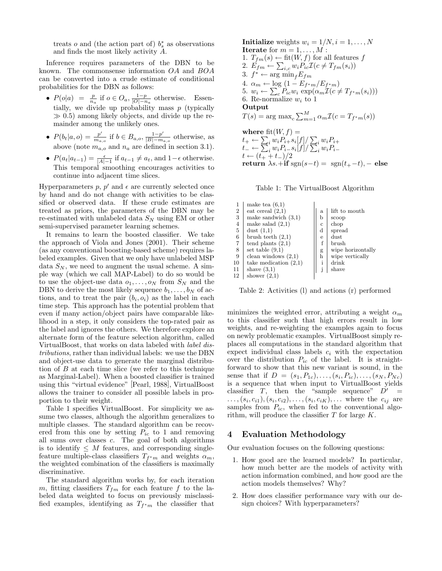treats  $o$  and (the action part of)  $b_s^*$  as observations and finds the most likely activity A.

Inference requires parameters of the DBN to be known. The commonsense information OA and BOA can be converted into a crude estimate of conditional probabilities for the DBN as follows:

- $P(o|a) = \frac{p}{n_a}$  if  $o \in O_a$ ,  $\frac{1-p}{|O| n_a}$  otherwise. Essentially, we divide up probability mass  $p$  (typically  $\gg$  0.5) among likely objects, and divide up the remainder among the unlikely ones.
- $P(b_t|a, o) = \frac{p'}{m}$  $\frac{p'}{m_{a,o}}$  if  $b \in B_{a,o}, \frac{1-p'}{|B|-m}$  $\frac{1-p'}{|B|-m_{a,o}}$  otherwise, as above (note  $m_{a,o}$  and  $n_a$  are defined in section 3.1).
- $P(a_t|a_{t-1}) = \frac{\epsilon}{|A|-1}$  if  $a_{t-1} \neq a_t$ , and  $1-\epsilon$  otherwise. This temporal smoothing encourages activities to continue into adjacent time slices.

Hyperparameters  $p, p'$  and  $\epsilon$  are currently selected once by hand and do not change with activities to be classified or observed data. If these crude estimates are treated as priors, the parameters of the DBN may be re-estimated with unlabeled data  $S_N$  using EM or other semi-supervised parameter learning schemes.

It remains to learn the boosted classifier. We take the approach of Viola and Jones (2001). Their scheme (as any conventional boosting-based scheme) requires labeled examples. Given that we only have unlabeled MSP data  $S_N$ , we need to augment the usual scheme. A simple way (which we call MAP-Label) to do so would be to use the object-use data  $o_1, \ldots, o_N$  from  $S_N$  and the DBN to derive the most likely sequence  $b_1, \ldots, b_N$  of actions, and to treat the pair  $(b_i, o_i)$  as the label in each time step. This approach has the potential problem that even if many action/object pairs have comparable likelihood in a step, it only considers the top-rated pair as the label and ignores the others. We therefore explore an alternate form of the feature selection algorithm, called VirtualBoost, that works on data labeled with label distributions, rather than individual labels: we use the DBN and object-use data to generate the marginal distribution of B at each time slice (we refer to this technique as Marginal-Label). When a boosted classifier is trained using this "virtual evidence" [Pearl, 1988], VirtualBoost allows the trainer to consider all possible labels in proportion to their weight.

Table 1 specifies VirtualBoost. For simplicity we assume two classes, although the algorithm generalizes to multiple classes. The standard algorithm can be recovered from this one by setting  $P_{ic}$  to 1 and removing all sums over classes c. The goal of both algorithms is to identify  $\leq M$  features, and corresponding singlefeature multiple-class classifiers  $T_{f^*m}$  and weights  $\alpha_m$ , the weighted combination of the classifiers is maximally discriminative.

The standard algorithm works by, for each iteration m, fitting classifiers  $T_{fm}$  for each feature f to the labeled data weighted to focus on previously misclassified examples, identifying as  $T_{f^*m}$  the classifier that

Initialize weights  $w_i = 1/N, i = 1, \ldots, N$ **Iterate** for  $m = 1, \ldots, M$ : 1.  $T_{fm}(s) \leftarrow \text{fit}(W, f)$  for all features f 2.  $E_{fm} \leftarrow \sum_{i,c} w_i P_{ic} \mathcal{I}(c \neq T_{fm}(s_i))$ 3.  $f^* \leftarrow \arg \min_{f} E_{fm}$ 4.  $\alpha_m \leftarrow \log \left(1 - E_{f^*m}/E_{f^*m}\right)$ 4.  $\alpha_m \leftarrow \log (1 - E_{f^*m}/E_{f^*m})$ <br>5.  $w_i \leftarrow \sum_c P_{ic}w_i \exp(\alpha_m \mathcal{I}(c \neq T_{f^*m}(s_i)))$ 6. Re-normalize  $w_i$  to 1 Output  $T(s) = \arg \max_c \sum_{m=1}^{M} \alpha_m \mathcal{I}(c = T_{f^*m}(s))$ where  $\mathrm{fit}(W, f) =$ where  $\mathrm{nt}(W, f) = \ t_+ \leftarrow \sum_i w_i P_{i+} s_i[f] / \sum_i w_i P_{i+}$  $t_{+} \leftarrow \sum_{i} w_{i} P_{i+} s_{i} |J| / \sum_{i} w_{i} P_{i+}$ <br> $t_{-} \leftarrow \sum_{i} w_{i} P_{i-} s_{i} |f| / \sum_{i} w_{i} P_{i-}$  $t \leftarrow (t_+ + t_-)/2$ return  $\lambda s.+if \text{sgn}(s-t) = \text{sgn}(t_{+}-t)$ , – else

Table 1: The VirtualBoost Algorithm

|                | make tea $(6,1)$        |              |                   |
|----------------|-------------------------|--------------|-------------------|
| $\overline{2}$ | eat cereal $(2,1)$      | a            | lift to mouth     |
| 3              | make sandwich $(3,1)$   | b            | scoop             |
| 4              | make salad $(2,1)$      | c            | chop              |
| 5              | dust $(1,1)$            | d            | spread            |
| 6              | brush teeth $(2,1)$     | е            | $_{\rm dust}$     |
| $\overline{7}$ | tend plants $(2,1)$     | f            | brush             |
| 8              | set table $(9,1)$       | g            | wipe horizontally |
| 9              | clean windows $(2,1)$   | $\bold{h}$   | wipe vertically   |
| 10             | take medication $(2,1)$ | $\mathbf{i}$ | drink             |
| 11             | shave $(3,1)$           | ٠            | shave             |
| 12             | shower $(2,1)$          |              |                   |

Table 2: Activities (l) and actions (r) performed

minimizes the weighted error, attributing a weight  $\alpha_m$ to this classifier such that high errors result in low weights, and re-weighting the examples again to focus on newly problematic examples. VirtualBoost simply replaces all computations in the standard algorithm that expect individual class labels  $c_i$  with the expectation over the distribution  $P_{ic}$  of the label. It is straightforward to show that this new variant is sound, in the sense that if  $D = (s_1, P_{1c}), \ldots, (s_i, P_{ic}), \ldots, (s_N, P_{Nc})$ is a sequence that when input to VirtualBoost yields classifier  $T$ , then the "sample sequence"  $D'$  =  $..., (s_i, c_{i1}), (s_i, c_{i2}), ..., (s_i, c_{iK}),...$  where the  $c_{ij}$  are samples from  $P_{ic}$ , when fed to the conventional algorithm, will produce the classifier  $T$  for large  $K$ .

# 4 Evaluation Methodology

Our evaluation focuses on the following questions:

- 1. How good are the learned models? In particular, how much better are the models of activity with action information combined, and how good are the action models themselves? Why?
- 2. How does classifier performance vary with our design choices? With hyperparameters?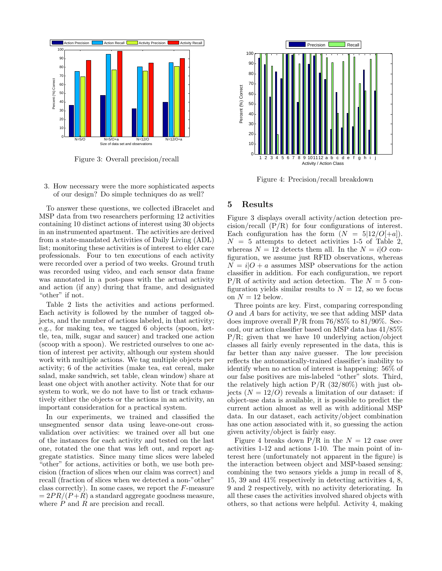

Figure 3: Overall precision/recall

3. How necessary were the more sophisticated aspects of our design? Do simple techniques do as well?

To answer these questions, we collected iBracelet and MSP data from two researchers performing 12 activities containing 10 distinct actions of interest using 30 objects in an instrumented apartment. The activities are derived from a state-mandated Activities of Daily Living (ADL) list; monitoring these activities is of interest to elder care professionals. Four to ten executions of each activity were recorded over a period of two weeks. Ground truth was recorded using video, and each sensor data frame was annotated in a post-pass with the actual activity and action (if any) during that frame, and designated "other" if not.

Table 2 lists the activities and actions performed. Each activity is followed by the number of tagged objects, and the number of actions labeled, in that activity; e.g., for making tea, we tagged 6 objects (spoon, kettle, tea, milk, sugar and saucer) and tracked one action (scoop with a spoon). We restricted ourselves to one action of interest per activity, although our system should work with multiple actions. We tag multiple objects per activity; 6 of the activities (make tea, eat cereal, make salad, make sandwich, set table, clean window) share at least one object with another activity. Note that for our system to work, we do not have to list or track exhaustively either the objects or the actions in an activity, an important consideration for a practical system.

In our experiments, we trained and classified the unsegmented sensor data using leave-one-out crossvalidation over activities: we trained over all but one of the instances for each activity and tested on the last one, rotated the one that was left out, and report aggregate statistics. Since many time slices were labeled "other" for actions, activities or both, we use both precision (fraction of slices when our claim was correct) and recall (fraction of slices when we detected a non-"other" class correctly). In some cases, we report the F-measure  $= 2PR/(P + R)$  a standard aggregate goodness measure, where  $P$  and  $R$  are precision and recall.



Figure 4: Precision/recall breakdown

## 5 Results

Figure 3 displays overall activity/action detection precision/recall  $(P/R)$  for four configurations of interest. Each configuration has the form  $(N = 5|12/O|+a)$ .  $N = 5$  attempts to detect activities 1-5 of Table 2, whereas  $N = 12$  detects them all. In the  $N = i/O$  configuration, we assume just RFID observations, whereas  $N = i|O + a$  assumes MSP observations for the action classifier in addition. For each configuration, we report  $P/R$  of activity and action detection. The  $N = 5$  configuration yields similar results to  $N = 12$ , so we focus on  $N = 12$  below.

Three points are key. First, comparing corresponding O and A bars for activity, we see that adding MSP data does improve overall  $P/R$  from 76/85% to 81/90%. Second, our action classifier based on MSP data has 41/85%  $P/R$ ; given that we have 10 underlying action/object classes all fairly evenly represented in the data, this is far better than any naive guesser. The low precision reflects the automatically-trained classifier's inability to identify when no action of interest is happening: 56% of our false positives are mis-labeled "other" slots. Third, the relatively high action  $P/R$  (32/80%) with just objects  $(N = 12/O)$  reveals a limitation of our dataset: if object-use data is available, it is possible to predict the current action almost as well as with additional MSP data. In our dataset, each activity/object combination has one action associated with it, so guessing the action given activity/object is fairly easy.

Figure 4 breaks down  $P/R$  in the  $N = 12$  case over activities 1-12 and actions 1-10. The main point of interest here (unfortunately not apparent in the figure) is the interaction between object and MSP-based sensing: combining the two sensors yields a jump in recall of 8, 15, 39 and 41% respectively in detecting activities 4, 8, 9 and 2 respectively, with no activity deteriorating. In all these cases the activities involved shared objects with others, so that actions were helpful. Activity 4, making